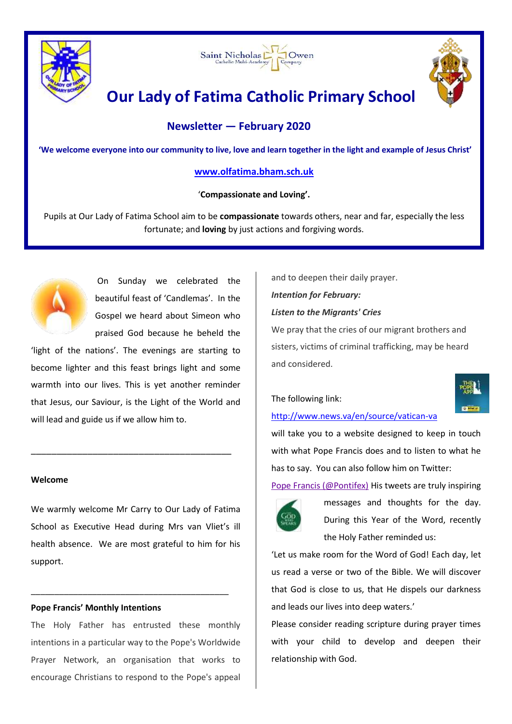





# **Our Lady of Fatima Catholic Primary School**

# **Newsletter — February 2020**

**'We welcome everyone into our community to live, love and learn together in the light and example of Jesus Christ'**

# **[www.olfatima.bham.sch.uk](http://www.olfatima.bham.sch.uk/)**

'**Compassionate and Loving'.** 

Pupils at Our Lady of Fatima School aim to be **compassionate** towards others, near and far, especially the less fortunate; and **loving** by just actions and forgiving words.



On Sunday we celebrated the beautiful feast of 'Candlemas'. In the Gospel we heard about Simeon who praised God because he beheld the

'light of the nations'. The evenings are starting to become lighter and this feast brings light and some warmth into our lives. This is yet another reminder that Jesus, our Saviour, is the Light of the World and will lead and guide us if we allow him to.

\_\_\_\_\_\_\_\_\_\_\_\_\_\_\_\_\_\_\_\_\_\_\_\_\_\_\_\_\_\_\_\_\_\_\_\_\_\_\_

#### **Welcome**

We warmly welcome Mr Carry to Our Lady of Fatima School as Executive Head during Mrs van Vliet's ill health absence.We are most grateful to him for his support.

\_\_\_\_\_\_\_\_\_\_\_\_\_\_\_\_\_\_\_\_\_\_\_\_\_\_\_\_\_\_\_\_\_\_\_\_\_\_\_\_\_\_

#### **Pope Francis' Monthly Intentions**

The Holy Father has entrusted these monthly intentions in a particular way to the Pope's Worldwide Prayer Network, an organisation that works to encourage Christians to respond to the Pope's appeal

and to deepen their daily prayer.

# *Intention for February:*

*Listen to the Migrants' Cries*

We pray that the cries of our migrant brothers and sisters, victims of criminal trafficking, may be heard and considered.

# The following link:



# <http://www.news.va/en/source/vatican-va>

will take you to a website designed to keep in touch with what Pope Francis does and to listen to what he has to say. You can also follow him on Twitter:

[Pope Francis \(@Pontifex\)](https://twitter.com/Pontifex?ref_src=twsrc%5Egoogle%7Ctwcamp%5Eserp%7Ctwgr%5Eauthor) His tweets are truly inspiring



messages and thoughts for the day. During this Year of the Word, recently the Holy Father reminded us:

'Let us make room for the Word of God! Each day, let us read a verse or two of the Bible. We will discover that God is close to us, that He dispels our darkness and leads our lives into deep waters.'

Please consider reading scripture during prayer times with your child to develop and deepen their relationship with God.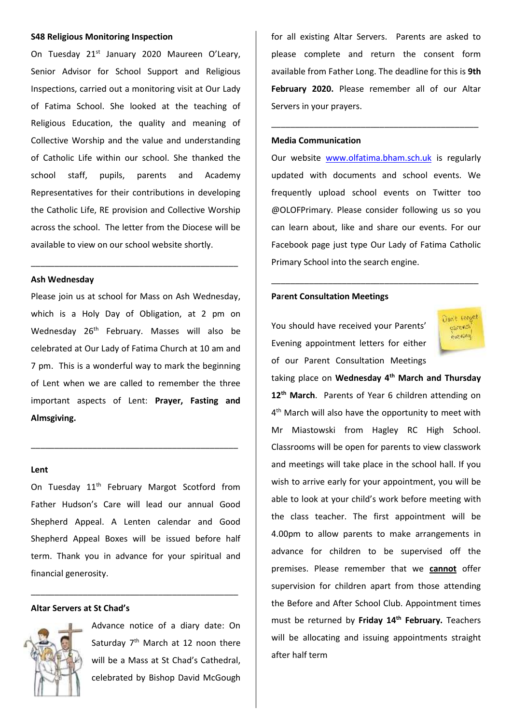#### **S48 Religious Monitoring Inspection**

On Tuesday 21<sup>st</sup> January 2020 Maureen O'Leary, Senior Advisor for School Support and Religious Inspections, carried out a monitoring visit at Our Lady of Fatima School. She looked at the teaching of Religious Education, the quality and meaning of Collective Worship and the value and understanding of Catholic Life within our school. She thanked the school staff, pupils, parents and Academy Representatives for their contributions in developing the Catholic Life, RE provision and Collective Worship across the school. The letter from the Diocese will be available to view on our school website shortly.

#### **Ash Wednesday**

Please join us at school for Mass on Ash Wednesday, which is a Holy Day of Obligation, at 2 pm on Wednesday 26<sup>th</sup> February. Masses will also be celebrated at Our Lady of Fatima Church at 10 am and 7 pm. This is a wonderful way to mark the beginning of Lent when we are called to remember the three important aspects of Lent: **Prayer, Fasting and Almsgiving.**

\_\_\_\_\_\_\_\_\_\_\_\_\_\_\_\_\_\_\_\_\_\_\_\_\_\_\_\_\_\_\_\_\_\_\_\_\_\_\_\_\_\_\_\_

\_\_\_\_\_\_\_\_\_\_\_\_\_\_\_\_\_\_\_\_\_\_\_\_\_\_\_\_\_\_\_\_\_\_\_\_\_\_\_\_\_\_\_\_

#### **Lent**

On Tuesday 11<sup>th</sup> February Margot Scotford from Father Hudson's Care will lead our annual Good Shepherd Appeal. A Lenten calendar and Good Shepherd Appeal Boxes will be issued before half term. Thank you in advance for your spiritual and financial generosity.

\_\_\_\_\_\_\_\_\_\_\_\_\_\_\_\_\_\_\_\_\_\_\_\_\_\_\_\_\_\_\_\_\_\_\_\_\_\_\_\_\_\_\_\_

#### **Altar Servers at St Chad's**



Advance notice of a diary date: On Saturday  $7<sup>th</sup>$  March at 12 noon there will be a Mass at St Chad's Cathedral, celebrated by Bishop David McGough for all existing Altar Servers. Parents are asked to please complete and return the consent form available from Father Long. The deadline for this is **9th February 2020.** Please remember all of our Altar Servers in your prayers.

\_\_\_\_\_\_\_\_\_\_\_\_\_\_\_\_\_\_\_\_\_\_\_\_\_\_\_\_\_\_\_\_\_\_\_\_\_\_\_\_\_\_\_\_

#### **Media Communication**

Our website [www.olfatima.bham.sch.uk](http://www.olfatima.bham.sch.uk/) is regularly updated with documents and school events. We frequently upload school events on Twitter too @OLOFPrimary. Please consider following us so you can learn about, like and share our events. For our Facebook page just type Our Lady of Fatima Catholic Primary School into the search engine.

\_\_\_\_\_\_\_\_\_\_\_\_\_\_\_\_\_\_\_\_\_\_\_\_\_\_\_\_\_\_\_\_\_\_\_\_\_\_\_\_\_\_\_\_

#### **Pa**r**ent Consultation Meetings**

You should have received your Parents' Evening appointment letters for either of our Parent Consultation Meetings



taking place on **Wednesday 4th March and Thursday 12th March**. Parents of Year 6 children attending on 4<sup>th</sup> March will also have the opportunity to meet with Mr Miastowski from Hagley RC High School. Classrooms will be open for parents to view classwork and meetings will take place in the school hall. If you wish to arrive early for your appointment, you will be able to look at your child's work before meeting with the class teacher. The first appointment will be 4.00pm to allow parents to make arrangements in advance for children to be supervised off the premises. Please remember that we **cannot** offer supervision for children apart from those attending the Before and After School Club. Appointment times must be returned by **Friday 14th February.** Teachers will be allocating and issuing appointments straight after half term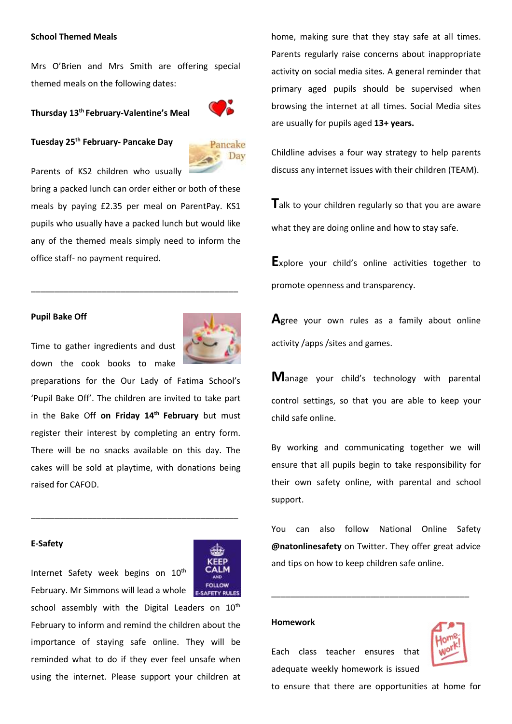#### **School Themed Meals**

Mrs O'Brien and Mrs Smith are offering special themed meals on the following dates:

## **Thursday 13th February-Valentine's Meal**



**Tuesday 25 th February- Pancake Day**



Parents of KS2 children who usually

bring a packed lunch can order either or both of these meals by paying £2.35 per meal on ParentPay. KS1 pupils who usually have a packed lunch but would like any of the themed meals simply need to inform the office staff- no payment required.

\_\_\_\_\_\_\_\_\_\_\_\_\_\_\_\_\_\_\_\_\_\_\_\_\_\_\_\_\_\_\_\_\_\_\_\_\_\_\_\_\_\_\_\_

#### **Pupil Bake Off**

Time to gather ingredients and dust down the cook books to make

preparations for the Our Lady of Fatima School's 'Pupil Bake Off'. The children are invited to take part in the Bake Off **on Friday 14th February** but must register their interest by completing an entry form. There will be no snacks available on this day. The cakes will be sold at playtime, with donations being raised for CAFOD.

\_\_\_\_\_\_\_\_\_\_\_\_\_\_\_\_\_\_\_\_\_\_\_\_\_\_\_\_\_\_\_\_\_\_\_\_\_\_\_\_\_\_\_\_

#### **E-Safety**

Internet Safety week begins on 10<sup>th</sup> February. Mr Simmons will lead a whole school assembly with the Digital Leaders on 10<sup>th</sup> February to inform and remind the children about the importance of staying safe online. They will be reminded what to do if they ever feel unsafe when

using the internet. Please support your children at

home, making sure that they stay safe at all times. Parents regularly raise concerns about inappropriate activity on social media sites. A general reminder that primary aged pupils should be supervised when browsing the internet at all times. Social Media sites are usually for pupils aged **13+ years.**

Childline advises a four way strategy to help parents discuss any internet issues with their children (TEAM).

**T**alk to your children regularly so that you are aware what they are doing online and how to stay safe.

**E**xplore your child's online activities together to promote openness and transparency.

**A**gree your own rules as a family about online activity /apps /sites and games.

**M**anage your child's technology with parental control settings, so that you are able to keep your child safe online.

By working and communicating together we will ensure that all pupils begin to take responsibility for their own safety online, with parental and school support.

You can also follow National Online Safety **@natonlinesafety** on Twitter. They offer great advice and tips on how to keep children safe online.

\_\_\_\_\_\_\_\_\_\_\_\_\_\_\_\_\_\_\_\_\_\_\_\_\_\_\_\_\_\_\_\_\_\_\_\_\_\_\_\_\_\_

#### **Homework**

Each class teacher ensures that adequate weekly homework is issued



to ensure that there are opportunities at home for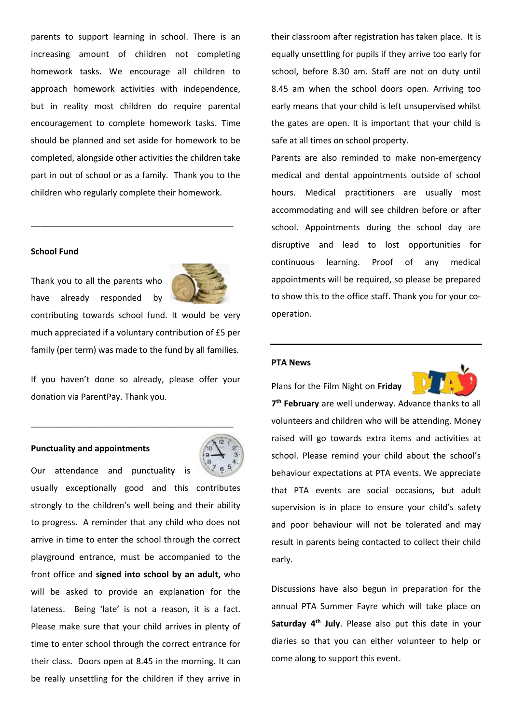parents to support learning in school. There is an increasing amount of children not completing homework tasks. We encourage all children to approach homework activities with independence, but in reality most children do require parental encouragement to complete homework tasks. Time should be planned and set aside for homework to be completed, alongside other activities the children take part in out of school or as a family. Thank you to the children who regularly complete their homework.

\_\_\_\_\_\_\_\_\_\_\_\_\_\_\_\_\_\_\_\_\_\_\_\_\_\_\_\_\_\_\_\_\_\_\_\_\_\_\_\_\_\_\_

#### **School Fund**

Thank you to all the parents who have already responded by



contributing towards school fund. It would be very much appreciated if a voluntary contribution of £5 per family (per term) was made to the fund by all families.

If you haven't done so already, please offer your donation via ParentPay. Thank you.

\_\_\_\_\_\_\_\_\_\_\_\_\_\_\_\_\_\_\_\_\_\_\_\_\_\_\_\_\_\_\_\_\_\_\_\_\_\_\_\_\_\_\_

### **Punctuality and appointments**



their classroom after registration has taken place. It is equally unsettling for pupils if they arrive too early for school, before 8.30 am. Staff are not on duty until 8.45 am when the school doors open. Arriving too early means that your child is left unsupervised whilst the gates are open. It is important that your child is safe at all times on school property.

Parents are also reminded to make non-emergency medical and dental appointments outside of school hours. Medical practitioners are usually most accommodating and will see children before or after school. Appointments during the school day are disruptive and lead to lost opportunities for continuous learning. Proof of any medical appointments will be required, so please be prepared to show this to the office staff. Thank you for your cooperation.

## **PTA News**

Plans for the Film Night on **Friday** 



**7 th February** are well underway. Advance thanks to all volunteers and children who will be attending. Money raised will go towards extra items and activities at school. Please remind your child about the school's behaviour expectations at PTA events. We appreciate that PTA events are social occasions, but adult supervision is in place to ensure your child's safety and poor behaviour will not be tolerated and may result in parents being contacted to collect their child early.

Discussions have also begun in preparation for the annual PTA Summer Fayre which will take place on **Saturday 4th July**. Please also put this date in your diaries so that you can either volunteer to help or come along to support this event.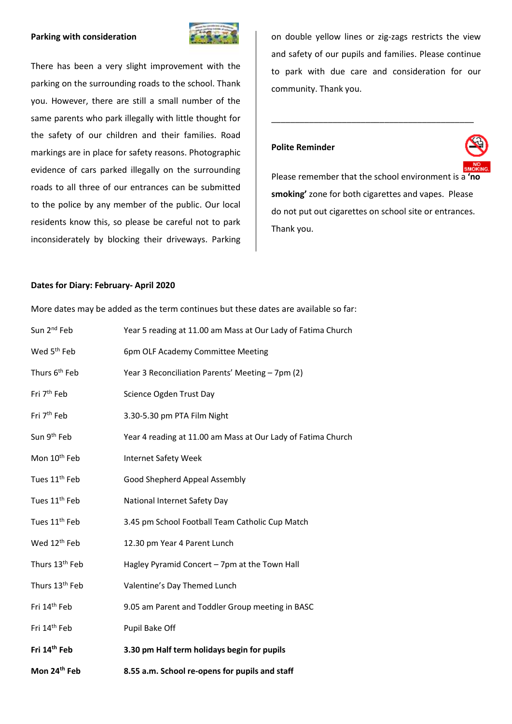#### **Parking with consideration**



There has been a very slight improvement with the parking on the surrounding roads to the school. Thank you. However, there are still a small number of the same parents who park illegally with little thought for the safety of our children and their families. Road markings are in place for safety reasons. Photographic evidence of cars parked illegally on the surrounding roads to all three of our entrances can be submitted to the police by any member of the public. Our local residents know this, so please be careful not to park inconsiderately by blocking their driveways. Parking on double yellow lines or zig-zags restricts the view and safety of our pupils and families. Please continue to park with due care and consideration for our community. Thank you.

\_\_\_\_\_\_\_\_\_\_\_\_\_\_\_\_\_\_\_\_\_\_\_\_\_\_\_\_\_\_\_\_\_\_\_\_\_\_\_\_\_\_\_

## **Polite Reminder**



Please remember that the school environment is a **'no smoking'** zone for both cigarettes and vapes. Please do not put out cigarettes on school site or entrances. Thank you.

### **Dates for Diary: February- April 2020**

| Mon 24th Feb                                                                        | 8.55 a.m. School re-opens for pupils and staff               |  |
|-------------------------------------------------------------------------------------|--------------------------------------------------------------|--|
| Fri 14th Feb                                                                        | 3.30 pm Half term holidays begin for pupils                  |  |
| Fri 14 <sup>th</sup> Feb                                                            | Pupil Bake Off                                               |  |
| Fri 14 <sup>th</sup> Feb                                                            | 9.05 am Parent and Toddler Group meeting in BASC             |  |
| Thurs 13 <sup>th</sup> Feb                                                          | Valentine's Day Themed Lunch                                 |  |
| Thurs 13 <sup>th</sup> Feb                                                          | Hagley Pyramid Concert - 7pm at the Town Hall                |  |
| Wed 12 <sup>th</sup> Feb                                                            | 12.30 pm Year 4 Parent Lunch                                 |  |
| Tues 11 <sup>th</sup> Feb                                                           | 3.45 pm School Football Team Catholic Cup Match              |  |
| Tues 11 <sup>th</sup> Feb                                                           | National Internet Safety Day                                 |  |
| Tues 11 <sup>th</sup> Feb                                                           | Good Shepherd Appeal Assembly                                |  |
| Mon 10 <sup>th</sup> Feb                                                            | Internet Safety Week                                         |  |
| Sun 9 <sup>th</sup> Feb                                                             | Year 4 reading at 11.00 am Mass at Our Lady of Fatima Church |  |
| Fri 7 <sup>th</sup> Feb                                                             | 3.30-5.30 pm PTA Film Night                                  |  |
| Fri 7 <sup>th</sup> Feb                                                             | Science Ogden Trust Day                                      |  |
| Thurs 6 <sup>th</sup> Feb                                                           | Year 3 Reconciliation Parents' Meeting - 7pm (2)             |  |
| Wed 5 <sup>th</sup> Feb                                                             | 6pm OLF Academy Committee Meeting                            |  |
| Sun 2 <sup>nd</sup> Feb                                                             | Year 5 reading at 11.00 am Mass at Our Lady of Fatima Church |  |
| More dates may be added as the term continues but these dates are available so far: |                                                              |  |
|                                                                                     |                                                              |  |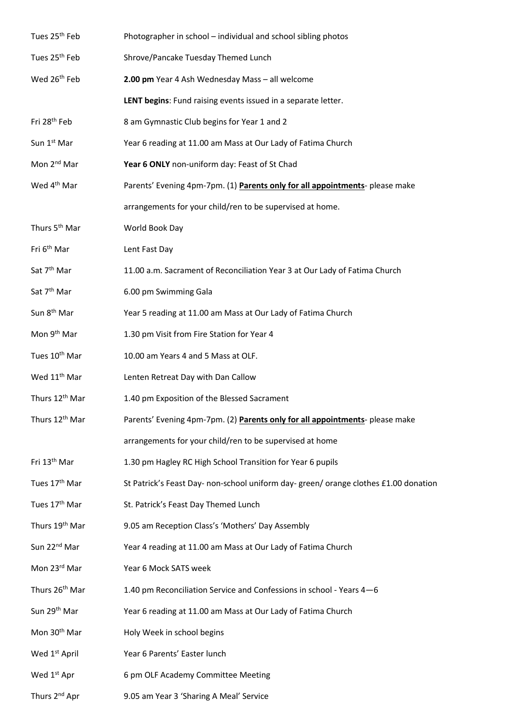| Tues 25 <sup>th</sup> Feb  | Photographer in school - individual and school sibling photos                       |
|----------------------------|-------------------------------------------------------------------------------------|
| Tues 25 <sup>th</sup> Feb  | Shrove/Pancake Tuesday Themed Lunch                                                 |
| Wed 26 <sup>th</sup> Feb   | 2.00 pm Year 4 Ash Wednesday Mass - all welcome                                     |
|                            | LENT begins: Fund raising events issued in a separate letter.                       |
| Fri 28 <sup>th</sup> Feb   | 8 am Gymnastic Club begins for Year 1 and 2                                         |
| Sun 1 <sup>st</sup> Mar    | Year 6 reading at 11.00 am Mass at Our Lady of Fatima Church                        |
| Mon 2 <sup>nd</sup> Mar    | Year 6 ONLY non-uniform day: Feast of St Chad                                       |
| Wed 4 <sup>th</sup> Mar    | Parents' Evening 4pm-7pm. (1) Parents only for all appointments- please make        |
|                            | arrangements for your child/ren to be supervised at home.                           |
| Thurs 5 <sup>th</sup> Mar  | World Book Day                                                                      |
| Fri 6 <sup>th</sup> Mar    | Lent Fast Day                                                                       |
| Sat 7 <sup>th</sup> Mar    | 11.00 a.m. Sacrament of Reconciliation Year 3 at Our Lady of Fatima Church          |
| Sat 7 <sup>th</sup> Mar    | 6.00 pm Swimming Gala                                                               |
| Sun 8 <sup>th</sup> Mar    | Year 5 reading at 11.00 am Mass at Our Lady of Fatima Church                        |
| Mon 9 <sup>th</sup> Mar    | 1.30 pm Visit from Fire Station for Year 4                                          |
| Tues 10 <sup>th</sup> Mar  | 10.00 am Years 4 and 5 Mass at OLF.                                                 |
| Wed 11 <sup>th</sup> Mar   | Lenten Retreat Day with Dan Callow                                                  |
| Thurs 12 <sup>th</sup> Mar | 1.40 pm Exposition of the Blessed Sacrament                                         |
| Thurs 12 <sup>th</sup> Mar | Parents' Evening 4pm-7pm. (2) Parents only for all appointments- please make        |
|                            | arrangements for your child/ren to be supervised at home                            |
| Fri 13 <sup>th</sup> Mar   | 1.30 pm Hagley RC High School Transition for Year 6 pupils                          |
| Tues 17 <sup>th</sup> Mar  | St Patrick's Feast Day- non-school uniform day- green/orange clothes £1.00 donation |
| Tues 17 <sup>th</sup> Mar  | St. Patrick's Feast Day Themed Lunch                                                |
| Thurs 19th Mar             | 9.05 am Reception Class's 'Mothers' Day Assembly                                    |
| Sun 22 <sup>nd</sup> Mar   | Year 4 reading at 11.00 am Mass at Our Lady of Fatima Church                        |
| Mon 23rd Mar               | Year 6 Mock SATS week                                                               |
| Thurs 26 <sup>th</sup> Mar | 1.40 pm Reconciliation Service and Confessions in school - Years 4-6                |
| Sun 29 <sup>th</sup> Mar   | Year 6 reading at 11.00 am Mass at Our Lady of Fatima Church                        |
| Mon 30 <sup>th</sup> Mar   | Holy Week in school begins                                                          |
| Wed 1 <sup>st</sup> April  | Year 6 Parents' Easter lunch                                                        |
| Wed 1 <sup>st</sup> Apr    | 6 pm OLF Academy Committee Meeting                                                  |
| Thurs 2 <sup>nd</sup> Apr  | 9.05 am Year 3 'Sharing A Meal' Service                                             |